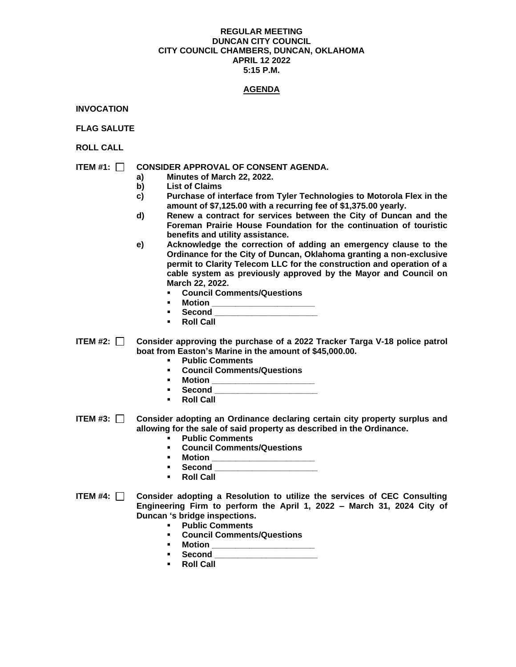#### **REGULAR MEETING DUNCAN CITY COUNCIL CITY COUNCIL CHAMBERS, DUNCAN, OKLAHOMA APRIL 12 2022 5:15 P.M.**

## **AGENDA**

**INVOCATION**

**FLAG SALUTE**

**ROLL CALL**

# **ITEM #1: CONSIDER APPROVAL OF CONSENT AGENDA.**

- **a) Minutes of March 22, 2022.**
- **b) List of Claims**
- **c) Purchase of interface from Tyler Technologies to Motorola Flex in the amount of \$7,125.00 with a recurring fee of \$1,375.00 yearly.**
- **d) Renew a contract for services between the City of Duncan and the Foreman Prairie House Foundation for the continuation of touristic benefits and utility assistance.**
- **e) Acknowledge the correction of adding an emergency clause to the Ordinance for the City of Duncan, Oklahoma granting a non-exclusive permit to Clarity Telecom LLC for the construction and operation of a cable system as previously approved by the Mayor and Council on March 22, 2022.**
	- **Council Comments/Questions**
	- **Motion \_\_\_\_\_\_\_\_\_\_\_\_\_\_\_\_\_\_\_\_\_\_**
	- **Second \_\_\_\_\_\_\_\_\_\_\_\_\_\_\_\_\_\_\_\_\_\_**
	- **Roll Call**
- **ITEM #2: Consider approving the purchase of a 2022 Tracker Targa V-18 police patrol boat from Easton's Marine in the amount of \$45,000.00.** 
	- **Public Comments**
	- **Council Comments/Questions**
	- **Motion \_\_\_\_\_\_\_\_\_\_\_\_\_\_\_\_\_\_\_\_\_\_**
	- **Second \_\_\_\_\_\_\_\_\_\_\_\_\_\_\_\_\_\_\_\_\_\_**
	- **Roll Call**
- **ITEM #3: Consider adopting an Ordinance declaring certain city property surplus and allowing for the sale of said property as described in the Ordinance.** 
	- **Public Comments**
	- **Council Comments/Questions**
	- **Motion \_\_\_\_\_\_\_\_\_\_\_\_\_\_\_\_\_\_\_\_\_\_**
	- **Second \_\_\_\_\_\_\_\_\_\_\_\_\_\_\_\_\_\_\_\_\_\_**
	- **Roll Call**
- **ITEM #4: Consider adopting a Resolution to utilize the services of CEC Consulting Engineering Firm to perform the April 1, 2022 – March 31, 2024 City of Duncan 's bridge inspections.** 
	- **Public Comments**
	- **Council Comments/Questions**
	- **Motion \_\_\_\_\_\_\_\_\_\_\_\_\_\_\_\_\_\_\_\_\_\_**
	- **Second \_\_\_\_\_\_\_\_\_\_\_\_\_\_\_\_\_\_\_\_\_\_**
	- **Roll Call**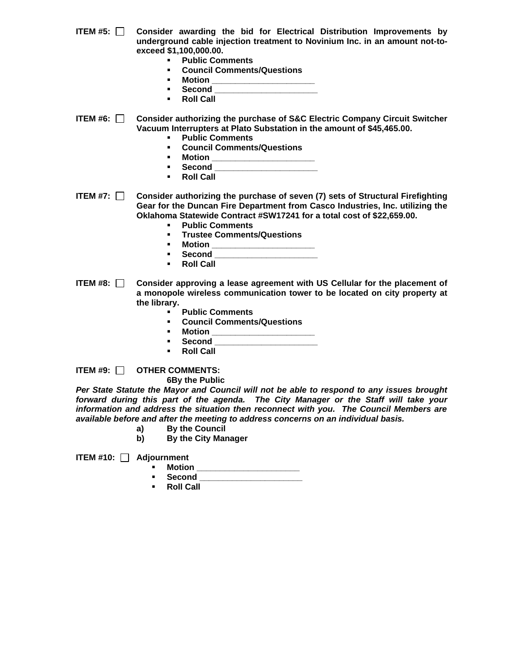- **ITEM #5: Consider awarding the bid for Electrical Distribution Improvements by underground cable injection treatment to Novinium Inc. in an amount not-toexceed \$1,100,000.00.** 
	- **Public Comments**
	- **Council Comments/Questions**
	- **Motion \_\_\_\_\_\_\_\_\_\_\_\_\_\_\_\_\_\_\_\_\_\_**
	- **Second \_\_\_\_\_\_\_\_\_\_\_\_\_\_\_\_\_\_\_\_\_\_**
	- **Roll Call**
- **ITEM #6: Consider authorizing the purchase of S&C Electric Company Circuit Switcher Vacuum Interrupters at Plato Substation in the amount of \$45,465.00.** 
	- **Public Comments**
	- **Council Comments/Questions**
	- **Motion \_\_\_\_\_\_\_\_\_\_\_\_\_\_\_\_\_\_\_\_\_\_**
	- **Second \_\_\_\_\_\_\_\_\_\_\_\_\_\_\_\_\_\_\_\_\_\_**
	- **Roll Call**
- **ITEM #7: Consider authorizing the purchase of seven (7) sets of Structural Firefighting Gear for the Duncan Fire Department from Casco Industries, Inc. utilizing the Oklahoma Statewide Contract #SW17241 for a total cost of \$22,659.00.**
	- **Public Comments**
	- **Trustee Comments/Questions**
	-
	- **Motion \_\_\_\_\_\_\_\_\_\_\_\_\_\_\_\_\_\_\_\_\_\_** ▪ **Second \_\_\_\_\_\_\_\_\_\_\_\_\_\_\_\_\_\_\_\_\_\_**
	- **Roll Call**
- **ITEM #8: Consider approving a lease agreement with US Cellular for the placement of a monopole wireless communication tower to be located on city property at the library.** 
	- **Public Comments**
	- **Council Comments/Questions**
	- **Motion \_\_\_\_\_\_\_\_\_\_\_\_\_\_\_\_\_\_\_\_\_\_**
	- **Second \_\_\_\_\_\_\_\_\_\_\_\_\_\_\_\_\_\_\_\_\_\_**
	- **Roll Call**

**ITEM #9: OTHER COMMENTS:**

**6By the Public**

*Per State Statute the Mayor and Council will not be able to respond to any issues brought forward during this part of the agenda. The City Manager or the Staff will take your information and address the situation then reconnect with you. The Council Members are available before and after the meeting to address concerns on an individual basis.*

- **a) By the Council**
- **b) By the City Manager**

**ITEM #10: Adjournment**

- **Motion \_\_\_\_\_\_\_\_\_\_\_\_\_\_\_\_\_\_\_\_\_\_\_**
- **Second \_\_\_\_\_\_\_\_\_\_\_\_\_\_\_\_\_\_\_\_\_\_**
- **Roll Call**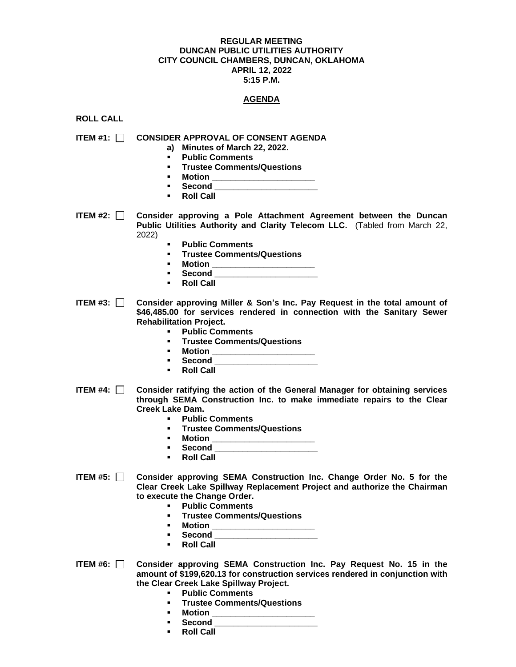#### **REGULAR MEETING DUNCAN PUBLIC UTILITIES AUTHORITY CITY COUNCIL CHAMBERS, DUNCAN, OKLAHOMA APRIL 12, 2022 5:15 P.M.**

## **AGENDA**

**ROLL CALL**

**ITEM #1: CONSIDER APPROVAL OF CONSENT AGENDA**

- **a) Minutes of March 22, 2022.**
- **Public Comments**
- **Trustee Comments/Questions**
- **Motion \_\_\_\_\_\_\_\_\_\_\_\_\_\_\_\_\_\_\_\_\_\_**
- **Second \_\_\_\_\_\_\_\_\_\_\_\_\_\_\_\_\_\_\_\_\_\_**
- **Roll Call**

**ITEM #2: Consider approving a Pole Attachment Agreement between the Duncan Public Utilities Authority and Clarity Telecom LLC.** (Tabled from March 22, 2022)

- **Public Comments**
- **Trustee Comments/Questions**
- **Motion \_\_\_\_\_\_\_\_\_\_\_\_\_\_\_\_\_\_\_\_\_\_**
- **Second \_\_\_\_\_\_\_\_\_\_\_\_\_\_\_\_\_\_\_\_\_\_**
- **Roll Call**

**ITEM #3: Consider approving Miller & Son's Inc. Pay Request in the total amount of \$46,485.00 for services rendered in connection with the Sanitary Sewer Rehabilitation Project.** 

- **Public Comments**
- **Trustee Comments/Questions**
- **Motion \_\_\_\_\_\_\_\_\_\_\_\_\_\_\_\_\_\_\_\_\_\_**
- **Second \_\_\_\_\_\_\_\_\_\_\_\_\_\_\_\_\_\_\_\_\_\_**
- **Roll Call**
- **ITEM #4: Consider ratifying the action of the General Manager for obtaining services through SEMA Construction Inc. to make immediate repairs to the Clear Creek Lake Dam.** 
	- **Public Comments**
	- **Trustee Comments/Questions**
	- **Motion \_\_\_\_\_\_\_\_\_\_\_\_\_\_\_\_\_\_\_\_\_\_**
	- **Second \_\_\_\_\_\_\_\_\_\_\_\_\_\_\_\_\_\_\_\_\_\_**
	- **Roll Call**
- **ITEM #5: Consider approving SEMA Construction Inc. Change Order No. 5 for the Clear Creek Lake Spillway Replacement Project and authorize the Chairman to execute the Change Order.** 
	- **Public Comments**
	- **Trustee Comments/Questions**
	- **Motion \_\_\_\_\_\_\_\_\_\_\_\_\_\_\_\_\_\_\_\_\_\_**
	- **Second \_\_\_\_\_\_\_\_\_\_\_\_\_\_\_\_\_\_\_\_\_\_**
	- **Roll Call**
- **ITEM #6: Consider approving SEMA Construction Inc. Pay Request No. 15 in the amount of \$199,620.13 for construction services rendered in conjunction with the Clear Creek Lake Spillway Project.** 
	- **Public Comments**
	- **Trustee Comments/Questions**
	- **Motion \_\_\_\_\_\_\_\_\_\_\_\_\_\_\_\_\_\_\_\_\_\_**
	- **Second \_\_\_\_\_\_\_\_\_\_\_\_\_\_\_\_\_\_\_\_\_\_**
	- **Roll Call**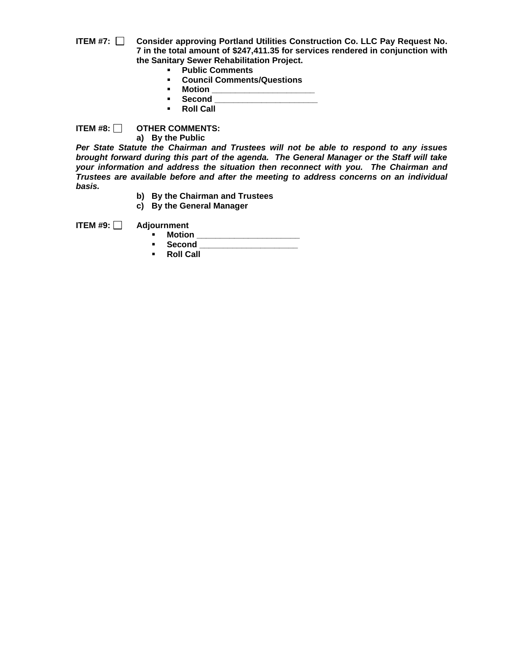- **ITEM #7: Consider approving Portland Utilities Construction Co. LLC Pay Request No. 7 in the total amount of \$247,411.35 for services rendered in conjunction with the Sanitary Sewer Rehabilitation Project.** 
	- **Public Comments**
	- **Council Comments/Questions**
	- **Motion \_\_\_\_\_\_\_\_\_\_\_\_\_\_\_\_\_\_\_\_\_\_**
	- **Second \_\_\_\_\_\_\_\_\_\_\_\_\_\_\_\_\_\_\_\_\_\_**
	- **Roll Call**

**ITEM #8: OTHER COMMENTS: a) By the Public**

*Per State Statute the Chairman and Trustees will not be able to respond to any issues brought forward during this part of the agenda. The General Manager or the Staff will take your information and address the situation then reconnect with you. The Chairman and Trustees are available before and after the meeting to address concerns on an individual basis.*

- **b) By the Chairman and Trustees**
- **c) By the General Manager**

**ITEM #9: Adjournment**

- - **Motion \_\_\_\_\_\_\_\_\_\_\_\_\_\_\_\_\_\_\_\_\_\_** ▪ **Second \_\_\_\_\_\_\_\_\_\_\_\_\_\_\_\_\_\_\_\_\_**
	- **Roll Call**